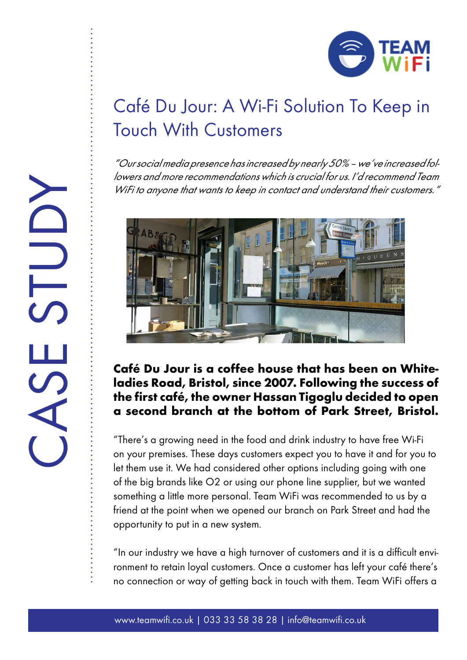

## Café Du Jour: A Wi-Fi Solution To Keep in Touch With Customers

"Our social media presence has increased by nearly 50% – we've increased followers and more recommendations which is crucial for us. I'd recommend Team WiFi to anyone that wants to keep in contact and understand their customers."



## **Café Du Jour is a coffee house that has been on Whiteladies Road, Bristol, since 2007. Following the success of the first café, the owner Hassan Tigoglu decided to open a second branch at the bottom of Park Street, Bristol.**

"There's a growing need in the food and drink industry to have free Wi-Fi on your premises. These days customers expect you to have it and for you to let them use it. We had considered other options including going with one of the big brands like O2 or using our phone line supplier, but we wanted something a little more personal. Team WiFi was recommended to us by a friend at the point when we opened our branch on Park Street and had the opportunity to put in a new system.

"In our industry we have a high turnover of customers and it is a difficult environment to retain loyal customers. Once a customer has left your café there's no connection or way of getting back in touch with them. Team WiFi offers a

CASE STUDY STUD  $\mathcal{C}$